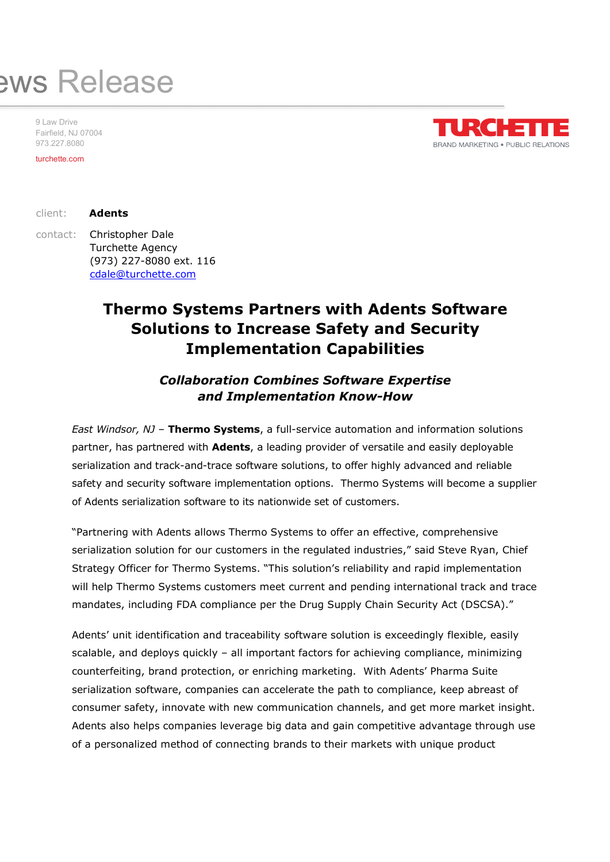# aws Release

9 Law Drive Fairfield, NJ 07004 973.227.8080

turchette.com



turchette.com<br>client: **Adents** 

contact: Christopher Dale Turchette Agency (973) 227-8080 ext. 116 cdale@turchette.com

## Thermo Systems Partners with Adents Software Solutions to Increase Safety and Security Implementation Capabilities

## Collaboration Combines Software Expertise and Implementation Know-How

East Windsor, NJ - Thermo Systems, a full-service automation and information solutions partner, has partnered with **Adents**, a leading provider of versatile and easily deployable serialization and track-and-trace software solutions, to offer highly advanced and reliable safety and security software implementation options. Thermo Systems will become a supplier of Adents serialization software to its nationwide set of customers.

"Partnering with Adents allows Thermo Systems to offer an effective, comprehensive serialization solution for our customers in the regulated industries," said Steve Ryan, Chief Strategy Officer for Thermo Systems. "This solution's reliability and rapid implementation will help Thermo Systems customers meet current and pending international track and trace mandates, including FDA compliance per the Drug Supply Chain Security Act (DSCSA)."

Adents' unit identification and traceability software solution is exceedingly flexible, easily scalable, and deploys quickly – all important factors for achieving compliance, minimizing counterfeiting, brand protection, or enriching marketing. With Adents' Pharma Suite serialization software, companies can accelerate the path to compliance, keep abreast of consumer safety, innovate with new communication channels, and get more market insight. Adents also helps companies leverage big data and gain competitive advantage through use of a personalized method of connecting brands to their markets with unique product